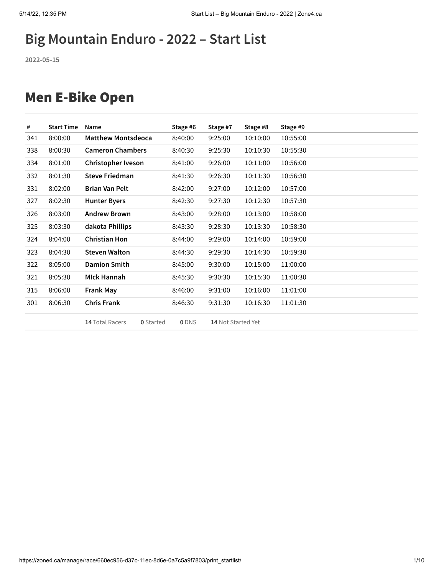# **Big Mountain Enduro - 2022 – Start List**

**2022-05-15**

### Men E-Bike Open

| #   | <b>Start Time</b> | Name                      |                  | Stage #6     | Stage #7           | Stage #8 | Stage #9 |
|-----|-------------------|---------------------------|------------------|--------------|--------------------|----------|----------|
| 341 | 8:00:00           | <b>Matthew Montsdeoca</b> |                  | 8:40:00      | 9:25:00            | 10:10:00 | 10:55:00 |
| 338 | 8:00:30           | <b>Cameron Chambers</b>   |                  | 8:40:30      | 9:25:30            | 10:10:30 | 10:55:30 |
| 334 | 8:01:00           | Christopher Iveson        |                  | 8:41:00      | 9:26:00            | 10:11:00 | 10:56:00 |
| 332 | 8:01:30           | <b>Steve Friedman</b>     |                  | 8:41:30      | 9:26:30            | 10:11:30 | 10:56:30 |
| 331 | 8:02:00           | <b>Brian Van Pelt</b>     |                  | 8:42:00      | 9:27:00            | 10:12:00 | 10:57:00 |
| 327 | 8:02:30           | <b>Hunter Byers</b>       |                  | 8:42:30      | 9:27:30            | 10:12:30 | 10:57:30 |
| 326 | 8:03:00           | <b>Andrew Brown</b>       |                  | 8:43:00      | 9:28:00            | 10:13:00 | 10:58:00 |
| 325 | 8:03:30           | dakota Phillips           |                  | 8:43:30      | 9:28:30            | 10:13:30 | 10:58:30 |
| 324 | 8:04:00           | <b>Christian Hon</b>      |                  | 8:44:00      | 9:29:00            | 10:14:00 | 10:59:00 |
| 323 | 8:04:30           | <b>Steven Walton</b>      |                  | 8:44:30      | 9:29:30            | 10:14:30 | 10:59:30 |
| 322 | 8:05:00           | <b>Damion Smith</b>       |                  | 8:45:00      | 9:30:00            | 10:15:00 | 11:00:00 |
| 321 | 8:05:30           | <b>MIck Hannah</b>        |                  | 8:45:30      | 9:30:30            | 10:15:30 | 11:00:30 |
| 315 | 8:06:00           | <b>Frank May</b>          |                  | 8:46:00      | 9:31:00            | 10:16:00 | 11:01:00 |
| 301 | 8:06:30           | <b>Chris Frank</b>        |                  | 8:46:30      | 9:31:30            | 10:16:30 | 11:01:30 |
|     |                   | 14 Total Racers           | <b>0</b> Started | <b>0</b> DNS | 14 Not Started Yet |          |          |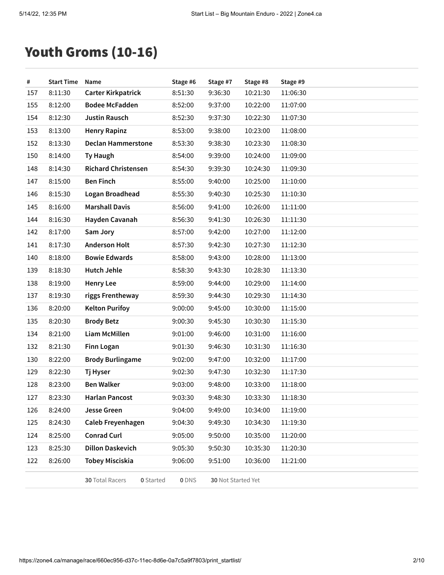# Youth Groms (10-16)

| $\#$ | <b>Start Time</b> | Name                                | Stage #6 | Stage #7           | Stage #8 | Stage #9 |
|------|-------------------|-------------------------------------|----------|--------------------|----------|----------|
| 157  | 8:11:30           | <b>Carter Kirkpatrick</b>           | 8:51:30  | 9:36:30            | 10:21:30 | 11:06:30 |
| 155  | 8:12:00           | <b>Bodee McFadden</b>               | 8:52:00  | 9:37:00            | 10:22:00 | 11:07:00 |
| 154  | 8:12:30           | <b>Justin Rausch</b>                | 8:52:30  | 9:37:30            | 10:22:30 | 11:07:30 |
| 153  | 8:13:00           | <b>Henry Rapinz</b>                 | 8:53:00  | 9:38:00            | 10:23:00 | 11:08:00 |
| 152  | 8:13:30           | <b>Declan Hammerstone</b>           | 8:53:30  | 9:38:30            | 10:23:30 | 11:08:30 |
| 150  | 8:14:00           | <b>Ty Haugh</b>                     | 8:54:00  | 9:39:00            | 10:24:00 | 11:09:00 |
| 148  | 8:14:30           | <b>Richard Christensen</b>          | 8:54:30  | 9:39:30            | 10:24:30 | 11:09:30 |
| 147  | 8:15:00           | <b>Ben Finch</b>                    | 8:55:00  | 9:40:00            | 10:25:00 | 11:10:00 |
| 146  | 8:15:30           | Logan Broadhead                     | 8:55:30  | 9:40:30            | 10:25:30 | 11:10:30 |
| 145  | 8:16:00           | <b>Marshall Davis</b>               | 8:56:00  | 9:41:00            | 10:26:00 | 11:11:00 |
| 144  | 8:16:30           | Hayden Cavanah                      | 8:56:30  | 9:41:30            | 10:26:30 | 11:11:30 |
| 142  | 8:17:00           | Sam Jory                            | 8:57:00  | 9:42:00            | 10:27:00 | 11:12:00 |
| 141  | 8:17:30           | <b>Anderson Holt</b>                | 8:57:30  | 9:42:30            | 10:27:30 | 11:12:30 |
| 140  | 8:18:00           | <b>Bowie Edwards</b>                | 8:58:00  | 9:43:00            | 10:28:00 | 11:13:00 |
| 139  | 8:18:30           | <b>Hutch Jehle</b>                  | 8:58:30  | 9:43:30            | 10:28:30 | 11:13:30 |
| 138  | 8:19:00           | <b>Henry Lee</b>                    | 8:59:00  | 9:44:00            | 10:29:00 | 11:14:00 |
| 137  | 8:19:30           | riggs Frentheway                    | 8:59:30  | 9:44:30            | 10:29:30 | 11:14:30 |
| 136  | 8:20:00           | <b>Kelton Purifoy</b>               | 9:00:00  | 9:45:00            | 10:30:00 | 11:15:00 |
| 135  | 8:20:30           | <b>Brody Betz</b>                   | 9:00:30  | 9:45:30            | 10:30:30 | 11:15:30 |
| 134  | 8:21:00           | Liam McMillen                       | 9:01:00  | 9:46:00            | 10:31:00 | 11:16:00 |
| 132  | 8:21:30           | <b>Finn Logan</b>                   | 9:01:30  | 9:46:30            | 10:31:30 | 11:16:30 |
| 130  | 8:22:00           | <b>Brody Burlingame</b>             | 9:02:00  | 9:47:00            | 10:32:00 | 11:17:00 |
| 129  | 8:22:30           | Tj Hyser                            | 9:02:30  | 9:47:30            | 10:32:30 | 11:17:30 |
| 128  | 8:23:00           | <b>Ben Walker</b>                   | 9:03:00  | 9:48:00            | 10:33:00 | 11:18:00 |
| 127  | 8:23:30           | <b>Harlan Pancost</b>               | 9:03:30  | 9:48:30            | 10:33:30 | 11:18:30 |
| 126  | 8:24:00           | Jesse Green                         | 9:04:00  | 9:49:00            | 10:34:00 | 11:19:00 |
| 125  | 8:24:30           | Caleb Freyenhagen                   | 9:04:30  | 9:49:30            | 10:34:30 | 11:19:30 |
| 124  | 8:25:00           | <b>Conrad Curl</b>                  | 9:05:00  | 9:50:00            | 10:35:00 | 11:20:00 |
| 123  | 8:25:30           | <b>Dillon Daskevich</b>             | 9:05:30  | 9:50:30            | 10:35:30 | 11:20:30 |
| 122  | 8:26:00           | <b>Tobey Misciskia</b>              | 9:06:00  | 9:51:00            | 10:36:00 | 11:21:00 |
|      |                   | 30 Total Racers<br><b>0</b> Started | 0 DNS    | 30 Not Started Yet |          |          |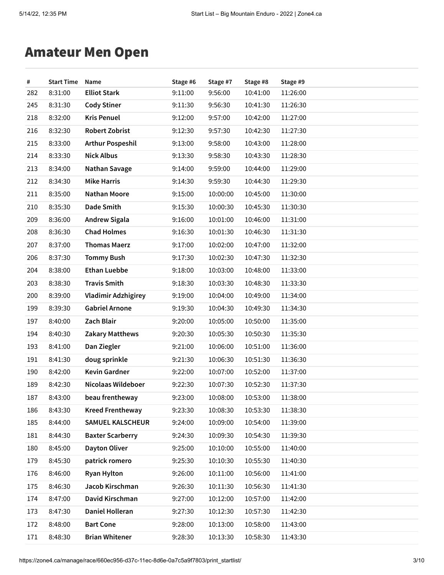### Amateur Men Open

| #   | <b>Start Time</b> | Name                       | Stage #6 | Stage #7 | Stage #8 | Stage #9 |
|-----|-------------------|----------------------------|----------|----------|----------|----------|
| 282 | 8:31:00           | <b>Elliot Stark</b>        | 9:11:00  | 9:56:00  | 10:41:00 | 11:26:00 |
| 245 | 8:31:30           | <b>Cody Stiner</b>         | 9:11:30  | 9:56:30  | 10:41:30 | 11:26:30 |
| 218 | 8:32:00           | <b>Kris Penuel</b>         | 9:12:00  | 9:57:00  | 10:42:00 | 11:27:00 |
| 216 | 8:32:30           | <b>Robert Zobrist</b>      | 9:12:30  | 9:57:30  | 10:42:30 | 11:27:30 |
| 215 | 8:33:00           | <b>Arthur Pospeshil</b>    | 9:13:00  | 9:58:00  | 10:43:00 | 11:28:00 |
| 214 | 8:33:30           | <b>Nick Albus</b>          | 9:13:30  | 9:58:30  | 10:43:30 | 11:28:30 |
| 213 | 8:34:00           | <b>Nathan Savage</b>       | 9:14:00  | 9:59:00  | 10:44:00 | 11:29:00 |
| 212 | 8:34:30           | <b>Mike Harris</b>         | 9:14:30  | 9:59:30  | 10:44:30 | 11:29:30 |
| 211 | 8:35:00           | <b>Nathan Moore</b>        | 9:15:00  | 10:00:00 | 10:45:00 | 11:30:00 |
| 210 | 8:35:30           | <b>Dade Smith</b>          | 9:15:30  | 10:00:30 | 10:45:30 | 11:30:30 |
| 209 | 8:36:00           | <b>Andrew Sigala</b>       | 9:16:00  | 10:01:00 | 10:46:00 | 11:31:00 |
| 208 | 8:36:30           | <b>Chad Holmes</b>         | 9:16:30  | 10:01:30 | 10:46:30 | 11:31:30 |
| 207 | 8:37:00           | <b>Thomas Maerz</b>        | 9:17:00  | 10:02:00 | 10:47:00 | 11:32:00 |
| 206 | 8:37:30           | <b>Tommy Bush</b>          | 9:17:30  | 10:02:30 | 10:47:30 | 11:32:30 |
| 204 | 8:38:00           | <b>Ethan Luebbe</b>        | 9:18:00  | 10:03:00 | 10:48:00 | 11:33:00 |
| 203 | 8:38:30           | <b>Travis Smith</b>        | 9:18:30  | 10:03:30 | 10:48:30 | 11:33:30 |
| 200 | 8:39:00           | <b>Vladimir Adzhigirey</b> | 9:19:00  | 10:04:00 | 10:49:00 | 11:34:00 |
| 199 | 8:39:30           | <b>Gabriel Arnone</b>      | 9:19:30  | 10:04:30 | 10:49:30 | 11:34:30 |
| 197 | 8:40:00           | Zach Blair                 | 9:20:00  | 10:05:00 | 10:50:00 | 11:35:00 |
| 194 | 8:40:30           | <b>Zakary Matthews</b>     | 9:20:30  | 10:05:30 | 10:50:30 | 11:35:30 |
| 193 | 8:41:00           | Dan Ziegler                | 9:21:00  | 10:06:00 | 10:51:00 | 11:36:00 |
| 191 | 8:41:30           | doug sprinkle              | 9:21:30  | 10:06:30 | 10:51:30 | 11:36:30 |
| 190 | 8:42:00           | <b>Kevin Gardner</b>       | 9:22:00  | 10:07:00 | 10:52:00 | 11:37:00 |
| 189 | 8:42:30           | Nicolaas Wildeboer         | 9:22:30  | 10:07:30 | 10:52:30 | 11:37:30 |
| 187 | 8:43:00           | beau frentheway            | 9:23:00  | 10:08:00 | 10:53:00 | 11:38:00 |
| 186 | 8:43:30           | <b>Kreed Frentheway</b>    | 9:23:30  | 10:08:30 | 10:53:30 | 11:38:30 |
| 185 | 8:44:00           | SAMUEL KALSCHEUR           | 9:24:00  | 10:09:00 | 10:54:00 | 11:39:00 |
| 181 | 8:44:30           | <b>Baxter Scarberry</b>    | 9:24:30  | 10:09:30 | 10:54:30 | 11:39:30 |
| 180 | 8:45:00           | <b>Dayton Oliver</b>       | 9:25:00  | 10:10:00 | 10:55:00 | 11:40:00 |
| 179 | 8:45:30           | patrick romero             | 9:25:30  | 10:10:30 | 10:55:30 | 11:40:30 |
| 176 | 8:46:00           | <b>Ryan Hylton</b>         | 9:26:00  | 10:11:00 | 10:56:00 | 11:41:00 |
| 175 | 8:46:30           | Jacob Kirschman            | 9:26:30  | 10:11:30 | 10:56:30 | 11:41:30 |
| 174 | 8:47:00           | David Kirschman            | 9:27:00  | 10:12:00 | 10:57:00 | 11:42:00 |
| 173 | 8:47:30           | Daniel Holleran            | 9:27:30  | 10:12:30 | 10:57:30 | 11:42:30 |
| 172 | 8:48:00           | <b>Bart Cone</b>           | 9:28:00  | 10:13:00 | 10:58:00 | 11:43:00 |
| 171 | 8:48:30           | <b>Brian Whitener</b>      | 9:28:30  | 10:13:30 | 10:58:30 | 11:43:30 |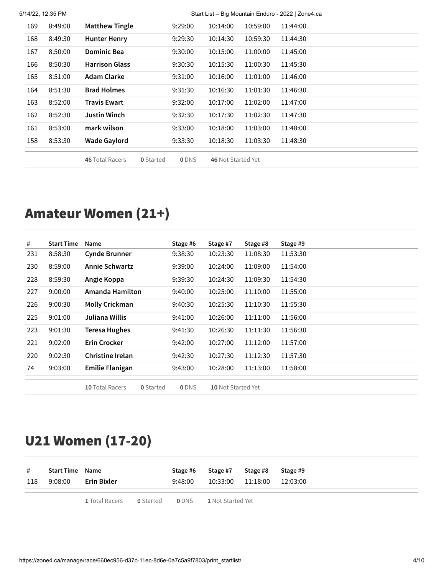|     | 5/14/22, 12:35 PM |                        |                  | Start List - Big Mountain Enduro - 2022   Zone4.ca |                    |          |          |  |  |
|-----|-------------------|------------------------|------------------|----------------------------------------------------|--------------------|----------|----------|--|--|
| 169 | 8:49:00           | <b>Matthew Tingle</b>  |                  | 9:29:00                                            | 10:14:00           | 10:59:00 | 11:44:00 |  |  |
| 168 | 8:49:30           | <b>Hunter Henry</b>    |                  | 9:29:30                                            | 10:14:30           | 10:59:30 | 11:44:30 |  |  |
| 167 | 8:50:00           | <b>Dominic Bea</b>     |                  | 9:30:00                                            | 10:15:00           | 11:00:00 | 11:45:00 |  |  |
| 166 | 8:50:30           | <b>Harrison Glass</b>  |                  | 9:30:30                                            | 10:15:30           | 11:00:30 | 11:45:30 |  |  |
| 165 | 8:51:00           | Adam Clarke            |                  | 9:31:00                                            | 10:16:00           | 11:01:00 | 11:46:00 |  |  |
| 164 | 8:51:30           | <b>Brad Holmes</b>     |                  | 9:31:30                                            | 10:16:30           | 11:01:30 | 11:46:30 |  |  |
| 163 | 8:52:00           | Travis Ewart           |                  | 9:32:00                                            | 10:17:00           | 11:02:00 | 11:47:00 |  |  |
| 162 | 8:52:30           | <b>Justin Winch</b>    |                  | 9:32:30                                            | 10:17:30           | 11:02:30 | 11:47:30 |  |  |
| 161 | 8:53:00           | mark wilson            |                  | 9:33:00                                            | 10:18:00           | 11:03:00 | 11:48:00 |  |  |
| 158 | 8:53:30           | <b>Wade Gaylord</b>    |                  | 9:33:30                                            | 10:18:30           | 11:03:30 | 11:48:30 |  |  |
|     |                   | <b>46 Total Racers</b> | <b>0</b> Started | <b>ODNS</b>                                        | 46 Not Started Yet |          |          |  |  |

# Amateur Women (21+)

| #   | <b>Start Time</b> | Name                                | Stage #6    | Stage #7           | Stage #8 | Stage #9 |
|-----|-------------------|-------------------------------------|-------------|--------------------|----------|----------|
| 231 | 8:58:30           | <b>Cynde Brunner</b>                | 9:38:30     | 10:23:30           | 11:08:30 | 11:53:30 |
| 230 | 8:59:00           | <b>Annie Schwartz</b>               | 9:39:00     | 10:24:00           | 11:09:00 | 11:54:00 |
| 228 | 8:59:30           | Angie Koppa                         | 9:39:30     | 10:24:30           | 11:09:30 | 11:54:30 |
| 227 | 9:00:00           | Amanda Hamilton                     | 9:40:00     | 10:25:00           | 11:10:00 | 11:55:00 |
| 226 | 9:00:30           | <b>Molly Crickman</b>               | 9:40:30     | 10:25:30           | 11:10:30 | 11:55:30 |
| 225 | 9:01:00           | Juliana Willis                      | 9:41:00     | 10:26:00           | 11:11:00 | 11:56:00 |
| 223 | 9:01:30           | Teresa Hughes                       | 9:41:30     | 10:26:30           | 11:11:30 | 11:56:30 |
| 221 | 9:02:00           | <b>Erin Crocker</b>                 | 9:42:00     | 10:27:00           | 11:12:00 | 11:57:00 |
| 220 | 9:02:30           | Christine Irelan                    | 9:42:30     | 10:27:30           | 11:12:30 | 11:57:30 |
| 74  | 9:03:00           | <b>Emilie Flanigan</b>              | 9:43:00     | 10:28:00           | 11:13:00 | 11:58:00 |
|     |                   | 10 Total Racers<br><b>0</b> Started | <b>ODNS</b> | 10 Not Started Yet |          |          |

# U21 Women (17-20)

| #   | <b>Start Time Name</b> |                |                  | Stage #6    | Stage #7                 | Stage #8 | Stage #9 |
|-----|------------------------|----------------|------------------|-------------|--------------------------|----------|----------|
| 118 | 9:08:00                | Erin Bixler    |                  | 9:48:00     | 10:33:00                 | 11:18:00 | 12:03:00 |
|     |                        | 1 Total Racers | <b>0</b> Started | <b>ODNS</b> | <b>1</b> Not Started Yet |          |          |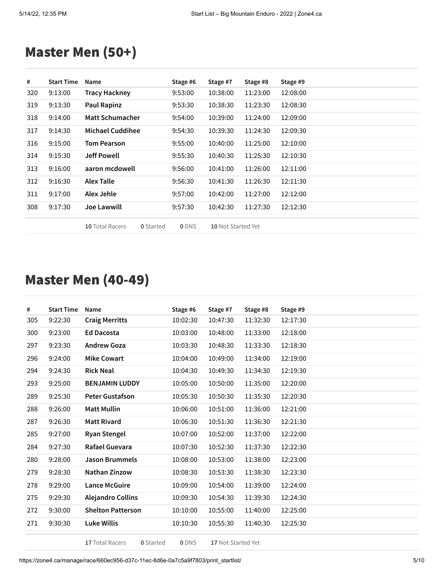### Master Men (50+)

| #   | <b>Start Time</b> | Name                                | Stage #6    | Stage #7           | Stage #8 | Stage #9 |
|-----|-------------------|-------------------------------------|-------------|--------------------|----------|----------|
| 320 | 9:13:00           | <b>Tracy Hackney</b>                | 9:53:00     | 10:38:00           | 11:23:00 | 12:08:00 |
| 319 | 9:13:30           | <b>Paul Rapinz</b>                  | 9:53:30     | 10:38:30           | 11:23:30 | 12:08:30 |
| 318 | 9:14:00           | Matt Schumacher                     | 9:54:00     | 10:39:00           | 11:24:00 | 12:09:00 |
| 317 | 9:14:30           | <b>Michael Cuddihee</b>             | 9:54:30     | 10:39:30           | 11:24:30 | 12:09:30 |
| 316 | 9:15:00           | <b>Tom Pearson</b>                  | 9:55:00     | 10:40:00           | 11:25:00 | 12:10:00 |
| 314 | 9:15:30           | <b>Jeff Powell</b>                  | 9:55:30     | 10:40:30           | 11:25:30 | 12:10:30 |
| 313 | 9:16:00           | aaron mcdowell                      | 9:56:00     | 10:41:00           | 11:26:00 | 12:11:00 |
| 312 | 9:16:30           | <b>Alex Talle</b>                   | 9:56:30     | 10:41:30           | 11:26:30 | 12:11:30 |
| 311 | 9:17:00           | Alex Jehle                          | 9:57:00     | 10:42:00           | 11:27:00 | 12:12:00 |
| 308 | 9:17:30           | <b>Joe Lawwill</b>                  | 9:57:30     | 10:42:30           | 11:27:30 | 12:12:30 |
|     |                   | 10 Total Racers<br><b>0</b> Started | <b>ODNS</b> | 10 Not Started Yet |          |          |

### Master Men (40-49)

| #   | <b>Start Time</b> | Name                     | Stage #6 | Stage #7 | Stage #8 | Stage #9 |
|-----|-------------------|--------------------------|----------|----------|----------|----------|
| 305 | 9:22:30           | <b>Craig Merritts</b>    | 10:02:30 | 10:47:30 | 11:32:30 | 12:17:30 |
| 300 | 9:23:00           | <b>Ed Dacosta</b>        | 10:03:00 | 10:48:00 | 11:33:00 | 12:18:00 |
| 297 | 9:23:30           | <b>Andrew Goza</b>       | 10:03:30 | 10:48:30 | 11:33:30 | 12:18:30 |
| 296 | 9:24:00           | <b>Mike Cowart</b>       | 10:04:00 | 10:49:00 | 11:34:00 | 12:19:00 |
| 294 | 9:24:30           | <b>Rick Neal</b>         | 10:04:30 | 10:49:30 | 11:34:30 | 12:19:30 |
| 293 | 9:25:00           | <b>BENJAMIN LUDDY</b>    | 10:05:00 | 10:50:00 | 11:35:00 | 12:20:00 |
| 289 | 9:25:30           | <b>Peter Gustafson</b>   | 10:05:30 | 10:50:30 | 11:35:30 | 12:20:30 |
| 288 | 9:26:00           | <b>Matt Mullin</b>       | 10:06:00 | 10:51:00 | 11:36:00 | 12:21:00 |
| 287 | 9:26:30           | <b>Matt Rivard</b>       | 10:06:30 | 10:51:30 | 11:36:30 | 12:21:30 |
| 285 | 9:27:00           | <b>Ryan Stengel</b>      | 10:07:00 | 10:52:00 | 11:37:00 | 12:22:00 |
| 284 | 9:27:30           | Rafael Guevara           | 10:07:30 | 10:52:30 | 11:37:30 | 12:22:30 |
| 280 | 9:28:00           | <b>Jason Brummels</b>    | 10:08:00 | 10:53:00 | 11:38:00 | 12:23:00 |
| 279 | 9:28:30           | <b>Nathan Zinzow</b>     | 10:08:30 | 10:53:30 | 11:38:30 | 12:23:30 |
| 278 | 9:29:00           | <b>Lance McGuire</b>     | 10:09:00 | 10:54:00 | 11:39:00 | 12:24:00 |
| 275 | 9:29:30           | <b>Alejandro Collins</b> | 10:09:30 | 10:54:30 | 11:39:30 | 12:24:30 |
| 272 | 9:30:00           | <b>Shelton Patterson</b> | 10:10:00 | 10:55:00 | 11:40:00 | 12:25:00 |
| 271 | 9:30:30           | <b>Luke Willis</b>       | 10:10:30 | 10:55:30 | 11:40:30 | 12:25:30 |
|     |                   |                          |          |          |          |          |

Total Racers **0** Started **0** DNS **17** Not Started Yet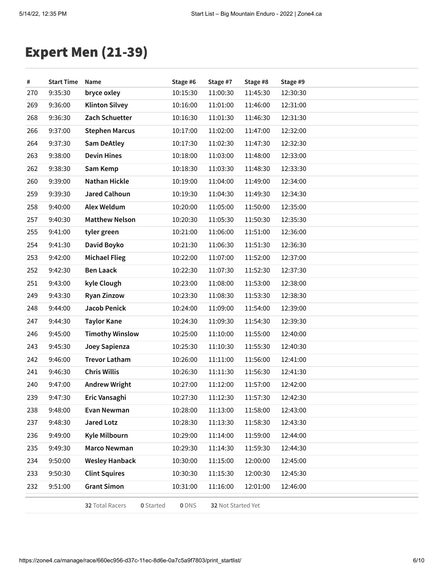# Expert Men (21-39)

| #   | <b>Start Time</b> | Name                   |                  | Stage #6 | Stage #7           | Stage #8 | Stage #9 |  |
|-----|-------------------|------------------------|------------------|----------|--------------------|----------|----------|--|
| 270 | 9:35:30           | bryce oxley            |                  | 10:15:30 | 11:00:30           | 11:45:30 | 12:30:30 |  |
| 269 | 9:36:00           | <b>Klinton Silvey</b>  |                  | 10:16:00 | 11:01:00           | 11:46:00 | 12:31:00 |  |
| 268 | 9:36:30           | Zach Schuetter         |                  | 10:16:30 | 11:01:30           | 11:46:30 | 12:31:30 |  |
| 266 | 9:37:00           | <b>Stephen Marcus</b>  |                  | 10:17:00 | 11:02:00           | 11:47:00 | 12:32:00 |  |
| 264 | 9:37:30           | <b>Sam DeAtley</b>     |                  | 10:17:30 | 11:02:30           | 11:47:30 | 12:32:30 |  |
| 263 | 9:38:00           | <b>Devin Hines</b>     |                  | 10:18:00 | 11:03:00           | 11:48:00 | 12:33:00 |  |
| 262 | 9:38:30           | Sam Kemp               |                  | 10:18:30 | 11:03:30           | 11:48:30 | 12:33:30 |  |
| 260 | 9:39:00           | <b>Nathan Hickle</b>   |                  | 10:19:00 | 11:04:00           | 11:49:00 | 12:34:00 |  |
| 259 | 9:39:30           | <b>Jared Calhoun</b>   |                  | 10:19:30 | 11:04:30           | 11:49:30 | 12:34:30 |  |
| 258 | 9:40:00           | Alex Weldum            |                  | 10:20:00 | 11:05:00           | 11:50:00 | 12:35:00 |  |
| 257 | 9:40:30           | <b>Matthew Nelson</b>  |                  | 10:20:30 | 11:05:30           | 11:50:30 | 12:35:30 |  |
| 255 | 9:41:00           | tyler green            |                  | 10:21:00 | 11:06:00           | 11:51:00 | 12:36:00 |  |
| 254 | 9:41:30           | David Boyko            |                  | 10:21:30 | 11:06:30           | 11:51:30 | 12:36:30 |  |
| 253 | 9:42:00           | <b>Michael Flieg</b>   |                  | 10:22:00 | 11:07:00           | 11:52:00 | 12:37:00 |  |
| 252 | 9:42:30           | <b>Ben Laack</b>       |                  | 10:22:30 | 11:07:30           | 11:52:30 | 12:37:30 |  |
| 251 | 9:43:00           | kyle Clough            |                  | 10:23:00 | 11:08:00           | 11:53:00 | 12:38:00 |  |
| 249 | 9:43:30           | <b>Ryan Zinzow</b>     |                  | 10:23:30 | 11:08:30           | 11:53:30 | 12:38:30 |  |
| 248 | 9:44:00           | Jacob Penick           |                  | 10:24:00 | 11:09:00           | 11:54:00 | 12:39:00 |  |
| 247 | 9:44:30           | <b>Taylor Kane</b>     |                  | 10:24:30 | 11:09:30           | 11:54:30 | 12:39:30 |  |
| 246 | 9:45:00           | <b>Timothy Winslow</b> |                  | 10:25:00 | 11:10:00           | 11:55:00 | 12:40:00 |  |
| 243 | 9:45:30           | Joey Sapienza          |                  | 10:25:30 | 11:10:30           | 11:55:30 | 12:40:30 |  |
| 242 | 9:46:00           | <b>Trevor Latham</b>   |                  | 10:26:00 | 11:11:00           | 11:56:00 | 12:41:00 |  |
| 241 | 9:46:30           | <b>Chris Willis</b>    |                  | 10:26:30 | 11:11:30           | 11:56:30 | 12:41:30 |  |
| 240 | 9:47:00           | <b>Andrew Wright</b>   |                  | 10:27:00 | 11:12:00           | 11:57:00 | 12:42:00 |  |
| 239 | 9:47:30           | Eric Vansaghi          |                  | 10:27:30 | 11:12:30           | 11:57:30 | 12:42:30 |  |
| 238 | 9:48:00           | Evan Newman            |                  | 10:28:00 | 11:13:00           | 11:58:00 | 12:43:00 |  |
| 237 | 9:48:30           | <b>Jared Lotz</b>      |                  | 10:28:30 | 11:13:30           | 11:58:30 | 12:43:30 |  |
| 236 | 9:49:00           | Kyle Milbourn          |                  | 10:29:00 | 11:14:00           | 11:59:00 | 12:44:00 |  |
| 235 | 9:49:30           | Marco Newman           |                  | 10:29:30 | 11:14:30           | 11:59:30 | 12:44:30 |  |
| 234 | 9:50:00           | <b>Wesley Hanback</b>  |                  | 10:30:00 | 11:15:00           | 12:00:00 | 12:45:00 |  |
| 233 | 9:50:30           | <b>Clint Squires</b>   |                  | 10:30:30 | 11:15:30           | 12:00:30 | 12:45:30 |  |
| 232 | 9:51:00           | <b>Grant Simon</b>     |                  | 10:31:00 | 11:16:00           | 12:01:00 | 12:46:00 |  |
|     |                   | 32 Total Racers        | <b>0</b> Started | 0 DNS    | 32 Not Started Yet |          |          |  |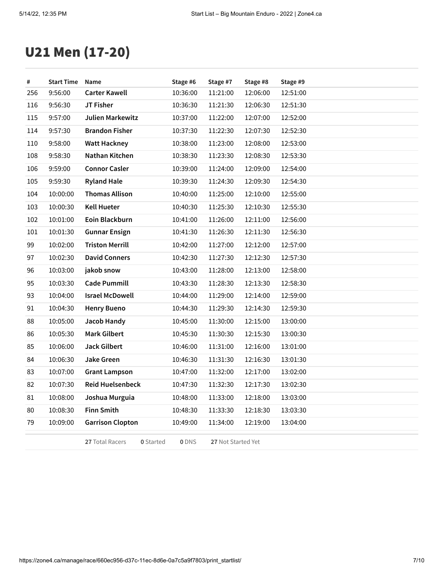# U21 Men (17-20)

| #   | <b>Start Time</b> | Name                                | Stage #6 | Stage #7                  | Stage #8 | Stage #9 |
|-----|-------------------|-------------------------------------|----------|---------------------------|----------|----------|
| 256 | 9:56:00           | <b>Carter Kawell</b>                | 10:36:00 | 11:21:00                  | 12:06:00 | 12:51:00 |
| 116 | 9:56:30           | JT Fisher                           | 10:36:30 | 11:21:30                  | 12:06:30 | 12:51:30 |
| 115 | 9:57:00           | <b>Julien Markewitz</b>             | 10:37:00 | 11:22:00                  | 12:07:00 | 12:52:00 |
| 114 | 9:57:30           | <b>Brandon Fisher</b>               | 10:37:30 | 11:22:30                  | 12:07:30 | 12:52:30 |
| 110 | 9:58:00           | <b>Watt Hackney</b>                 | 10:38:00 | 11:23:00                  | 12:08:00 | 12:53:00 |
| 108 | 9:58:30           | Nathan Kitchen                      | 10:38:30 | 11:23:30                  | 12:08:30 | 12:53:30 |
| 106 | 9:59:00           | <b>Connor Casler</b>                | 10:39:00 | 11:24:00                  | 12:09:00 | 12:54:00 |
| 105 | 9:59:30           | <b>Ryland Hale</b>                  | 10:39:30 | 11:24:30                  | 12:09:30 | 12:54:30 |
| 104 | 10:00:00          | <b>Thomas Allison</b>               | 10:40:00 | 11:25:00                  | 12:10:00 | 12:55:00 |
| 103 | 10:00:30          | <b>Kell Hueter</b>                  | 10:40:30 | 11:25:30                  | 12:10:30 | 12:55:30 |
| 102 | 10:01:00          | Eoin Blackburn                      | 10:41:00 | 11:26:00                  | 12:11:00 | 12:56:00 |
| 101 | 10:01:30          | <b>Gunnar Ensign</b>                | 10:41:30 | 11:26:30                  | 12:11:30 | 12:56:30 |
| 99  | 10:02:00          | <b>Triston Merrill</b>              | 10:42:00 | 11:27:00                  | 12:12:00 | 12:57:00 |
| 97  | 10:02:30          | <b>David Conners</b>                | 10:42:30 | 11:27:30                  | 12:12:30 | 12:57:30 |
| 96  | 10:03:00          | jakob snow                          | 10:43:00 | 11:28:00                  | 12:13:00 | 12:58:00 |
| 95  | 10:03:30          | <b>Cade Pummill</b>                 | 10:43:30 | 11:28:30                  | 12:13:30 | 12:58:30 |
| 93  | 10:04:00          | <b>Israel McDowell</b>              | 10:44:00 | 11:29:00                  | 12:14:00 | 12:59:00 |
| 91  | 10:04:30          | <b>Henry Bueno</b>                  | 10:44:30 | 11:29:30                  | 12:14:30 | 12:59:30 |
| 88  | 10:05:00          | Jacob Handy                         | 10:45:00 | 11:30:00                  | 12:15:00 | 13:00:00 |
| 86  | 10:05:30          | <b>Mark Gilbert</b>                 | 10:45:30 | 11:30:30                  | 12:15:30 | 13:00:30 |
| 85  | 10:06:00          | <b>Jack Gilbert</b>                 | 10:46:00 | 11:31:00                  | 12:16:00 | 13:01:00 |
| 84  | 10:06:30          | Jake Green                          | 10:46:30 | 11:31:30                  | 12:16:30 | 13:01:30 |
| 83  | 10:07:00          | <b>Grant Lampson</b>                | 10:47:00 | 11:32:00                  | 12:17:00 | 13:02:00 |
| 82  | 10:07:30          | <b>Reid Huelsenbeck</b>             | 10:47:30 | 11:32:30                  | 12:17:30 | 13:02:30 |
| 81  | 10:08:00          | Joshua Murguia                      | 10:48:00 | 11:33:00                  | 12:18:00 | 13:03:00 |
| 80  | 10:08:30          | <b>Finn Smith</b>                   | 10:48:30 | 11:33:30                  | 12:18:30 | 13:03:30 |
| 79  | 10:09:00          | <b>Garrison Clopton</b>             | 10:49:00 | 11:34:00                  | 12:19:00 | 13:04:00 |
|     |                   | <b>0</b> Started<br>27 Total Racers | 0 DNS    | <b>27</b> Not Started Yet |          |          |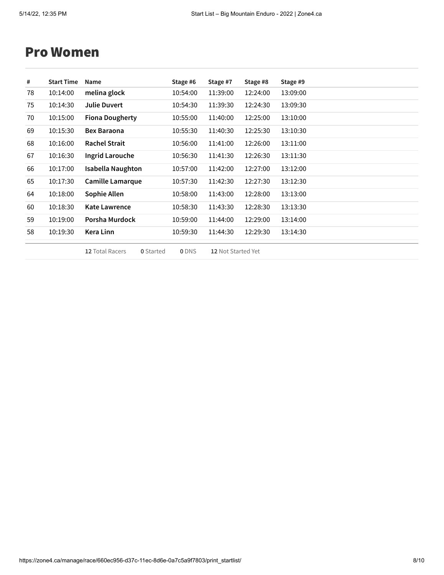#### Pro Women

| #  | <b>Start Time</b> | Name                   | Stage #6 | Stage #7 | Stage #8 | Stage #9 |
|----|-------------------|------------------------|----------|----------|----------|----------|
| 78 | 10:14:00          | melina glock           | 10:54:00 | 11:39:00 | 12:24:00 | 13:09:00 |
| 75 | 10:14:30          | <b>Julie Duvert</b>    | 10:54:30 | 11:39:30 | 12:24:30 | 13:09:30 |
| 70 | 10:15:00          | <b>Fiona Dougherty</b> | 10:55:00 | 11:40:00 | 12:25:00 | 13:10:00 |
| 69 | 10:15:30          | <b>Bex Baraona</b>     | 10:55:30 | 11:40:30 | 12:25:30 | 13:10:30 |
| 68 | 10:16:00          | <b>Rachel Strait</b>   | 10:56:00 | 11:41:00 | 12:26:00 | 13:11:00 |
| 67 | 10:16:30          | Ingrid Larouche        | 10:56:30 | 11:41:30 | 12:26:30 | 13:11:30 |
| 66 | 10:17:00          | Isabella Naughton      | 10:57:00 | 11:42:00 | 12:27:00 | 13:12:00 |
| 65 | 10:17:30          | Camille Lamarque       | 10:57:30 | 11:42:30 | 12:27:30 | 13:12:30 |
| 64 | 10:18:00          | Sophie Allen           | 10:58:00 | 11:43:00 | 12:28:00 | 13:13:00 |
| 60 | 10:18:30          | <b>Kate Lawrence</b>   | 10:58:30 | 11:43:30 | 12:28:30 | 13:13:30 |
| 59 | 10:19:00          | Porsha Murdock         | 10:59:00 | 11:44:00 | 12:29:00 | 13:14:00 |
| 58 | 10:19:30          | Kera Linn              | 10:59:30 | 11:44:30 | 12:29:30 | 13:14:30 |
|    |                   |                        |          |          |          |          |

Total Racers **0** Started **0** DNS **12** Not Started Yet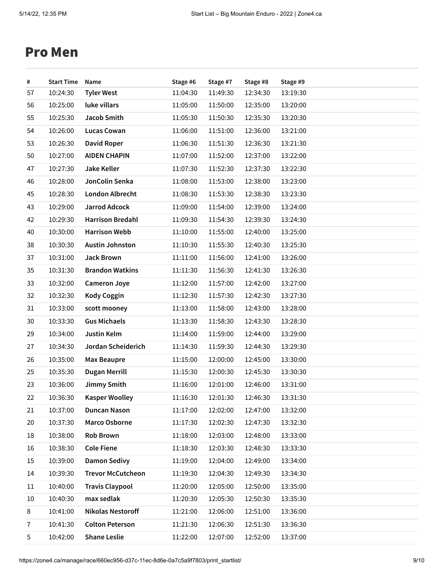#### Pro Men

| #              | <b>Start Time</b> | Name                     | Stage #6 | Stage #7 | Stage #8 | Stage #9 |
|----------------|-------------------|--------------------------|----------|----------|----------|----------|
| 57             | 10:24:30          | <b>Tyler West</b>        | 11:04:30 | 11:49:30 | 12:34:30 | 13:19:30 |
| 56             | 10:25:00          | luke villars             | 11:05:00 | 11:50:00 | 12:35:00 | 13:20:00 |
| 55             | 10:25:30          | Jacob Smith              | 11:05:30 | 11:50:30 | 12:35:30 | 13:20:30 |
| 54             | 10:26:00          | <b>Lucas Cowan</b>       | 11:06:00 | 11:51:00 | 12:36:00 | 13:21:00 |
| 53             | 10:26:30          | <b>David Roper</b>       | 11:06:30 | 11:51:30 | 12:36:30 | 13:21:30 |
| 50             | 10:27:00          | <b>AIDEN CHAPIN</b>      | 11:07:00 | 11:52:00 | 12:37:00 | 13:22:00 |
| 47             | 10:27:30          | <b>Jake Keller</b>       | 11:07:30 | 11:52:30 | 12:37:30 | 13:22:30 |
| 46             | 10:28:00          | JonColin Senka           | 11:08:00 | 11:53:00 | 12:38:00 | 13:23:00 |
| 45             | 10:28:30          | <b>London Albrecht</b>   | 11:08:30 | 11:53:30 | 12:38:30 | 13:23:30 |
| 43             | 10:29:00          | <b>Jarrod Adcock</b>     | 11:09:00 | 11:54:00 | 12:39:00 | 13:24:00 |
| 42             | 10:29:30          | <b>Harrison Bredahl</b>  | 11:09:30 | 11:54:30 | 12:39:30 | 13:24:30 |
| 40             | 10:30:00          | <b>Harrison Webb</b>     | 11:10:00 | 11:55:00 | 12:40:00 | 13:25:00 |
| 38             | 10:30:30          | <b>Austin Johnston</b>   | 11:10:30 | 11:55:30 | 12:40:30 | 13:25:30 |
| 37             | 10:31:00          | <b>Jack Brown</b>        | 11:11:00 | 11:56:00 | 12:41:00 | 13:26:00 |
| 35             | 10:31:30          | <b>Brandon Watkins</b>   | 11:11:30 | 11:56:30 | 12:41:30 | 13:26:30 |
| 33             | 10:32:00          | <b>Cameron Joye</b>      | 11:12:00 | 11:57:00 | 12:42:00 | 13:27:00 |
| 32             | 10:32:30          | <b>Kody Coggin</b>       | 11:12:30 | 11:57:30 | 12:42:30 | 13:27:30 |
| 31             | 10:33:00          | scott mooney             | 11:13:00 | 11:58:00 | 12:43:00 | 13:28:00 |
| 30             | 10:33:30          | <b>Gus Michaels</b>      | 11:13:30 | 11:58:30 | 12:43:30 | 13:28:30 |
| 29             | 10:34:00          | Justin Kelm              | 11:14:00 | 11:59:00 | 12:44:00 | 13:29:00 |
| 27             | 10:34:30          | Jordan Scheiderich       | 11:14:30 | 11:59:30 | 12:44:30 | 13:29:30 |
| 26             | 10:35:00          | <b>Max Beaupre</b>       | 11:15:00 | 12:00:00 | 12:45:00 | 13:30:00 |
| 25             | 10:35:30          | Dugan Merrill            | 11:15:30 | 12:00:30 | 12:45:30 | 13:30:30 |
| 23             | 10:36:00          | Jimmy Smith              | 11:16:00 | 12:01:00 | 12:46:00 | 13:31:00 |
| 22             | 10:36:30          | <b>Kasper Woolley</b>    | 11:16:30 | 12:01:30 | 12:46:30 | 13:31:30 |
| 21             | 10:37:00          | <b>Duncan Nason</b>      | 11:17:00 | 12:02:00 | 12:47:00 | 13:32:00 |
| 20             | 10:37:30          | Marco Osborne            | 11:17:30 | 12:02:30 | 12:47:30 | 13:32:30 |
| 18             | 10:38:00          | <b>Rob Brown</b>         | 11:18:00 | 12:03:00 | 12:48:00 | 13:33:00 |
| 16             | 10:38:30          | <b>Cole Fiene</b>        | 11:18:30 | 12:03:30 | 12:48:30 | 13:33:30 |
| 15             | 10:39:00          | <b>Damon Sedivy</b>      | 11:19:00 | 12:04:00 | 12:49:00 | 13:34:00 |
| 14             | 10:39:30          | <b>Trevor McCutcheon</b> | 11:19:30 | 12:04:30 | 12:49:30 | 13:34:30 |
| 11             | 10:40:00          | <b>Travis Claypool</b>   | 11:20:00 | 12:05:00 | 12:50:00 | 13:35:00 |
| 10             | 10:40:30          | max sedlak               | 11:20:30 | 12:05:30 | 12:50:30 | 13:35:30 |
| 8              | 10:41:00          | <b>Nikolas Nestoroff</b> | 11:21:00 | 12:06:00 | 12:51:00 | 13:36:00 |
| $\overline{7}$ | 10:41:30          | <b>Colton Peterson</b>   | 11:21:30 | 12:06:30 | 12:51:30 | 13:36:30 |
| 5              | 10:42:00          | <b>Shane Leslie</b>      | 11:22:00 | 12:07:00 | 12:52:00 | 13:37:00 |